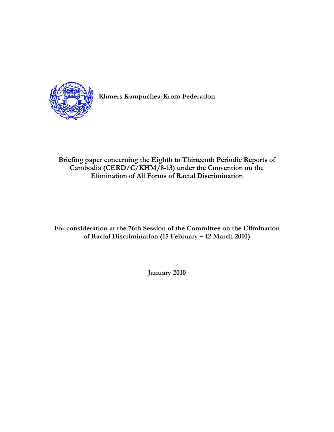

**Khmers Kampuchea-Krom Federation** 

# **Briefing paper concerning the Eighth to Thirteenth Periodic Reports of Cambodia (CERD/C/KHM/8-13) under the Convention on the Elimination of All Forms of Racial Discrimination**

**For consideration at the 76th Session of the Committee on the Elimination of Racial Discrimination (15 February – 12 March 2010)** 

**January 2010**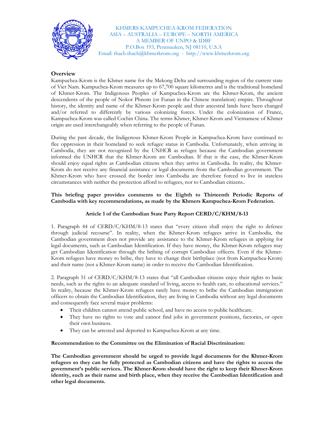

KHMERS KAMPUCHEA-KROM FEDERATION ASIA – AUSTRALIA – EUROPE – NORTH AMERICA A MEMBER OF UNPO & IDBF P.O.Box 193, Pennsauken, NJ 08110, U.S.A Email: thach.thach@khmerkrom.org - http://www.khmerkrom.org

## **Overview**

Kampuchea-Krom is the Khmer name for the Mekong Delta and surrounding region of the current state of Viet Nam. Kampuchea-Krom measures up to 67,700 square kilometres and is the traditional homeland of Khmer-Krom. The Indigenous Peoples of Kampuchea-Krom are the Khmer-Krom, the ancient descendents of the people of Nokor Phnom (or Funan in the Chinese translation) empire. Throughout history, the identity and name of the Khmer-Krom people and their ancestral lands have been changed and/or referred to differently by various colonizing forces. Under the colonization of France, Kampuchea-Krom was called Cochin China. The terms Khmer, Khmer-Krom and Vietnamese of Khmer origin are used interchangeably when referring to the people of Funan.

During the past decade, the Indigenous Khmer-Krom People in Kampuchea-Krom have continued to flee oppression in their homeland to seek refugee status in Cambodia. Unfortunately, when arriving in Cambodia, they are not recognized by the UNHCR as refugee because the Cambodian government informed the UNHCR that the Khmer-Krom are Cambodian. If that is the case, the Khmer-Krom should enjoy equal rights as Cambodian citizens when they arrive in Cambodia. In reality, the Khmer-Krom do not receive any financial assistance or legal documents from the Cambodian government. The Khmer-Krom who have crossed the border into Cambodia are therefore forced to live in stateless circumstances with neither the protection afford to refugees, nor to Cambodian citizens..

### **This briefing paper provides comments to the Eighth to Thirteenth Periodic Reports of Cambodia with key recommendations, as made by the Khmers Kampuchea-Krom Federation.**

### **Article 1 of the Cambodian State Party Report CERD/C/KHM/8-13**

1. Paragraph 44 of CERD/C/KHM/8-13 states that "every citizen shall enjoy the right to defence through judicial recourse". In reality, when the Khmer-Krom refugees arrive in Cambodia, the Cambodian government does not provide any assistance to the Khmer-Krom refugees in applying for legal documents, such as Cambodian Identification. If they have money, the Khmer-Krom refugees may get Cambodian Identification through the bribing of corrupt Cambodian officers. Even if the Khmer-Krom refugees have money to bribe, they have to change their birthplace (not from Kampuchea-Krom) and their name (not a Khmer-Krom name) in order to receive the Cambodian Identification.

2. Paragraph 51 of CERD/C/KHM/8-13 states that "all Cambodian citizens enjoy their rights to basic needs, such as the rights to an adequate standard of living, access to health care, to educational services." In reality, because the Khmer-Krom refugees rarely have money to bribe the Cambodian immigration officers to obtain the Cambodian Identification, they are living in Cambodia without any legal documents and consequently face several major problems:

- Their children cannot attend public school, and have no access to public healthcare.
- They have no rights to vote and cannot find jobs in government positions, factories, or open their own business.
- They can be arrested and deported to Kampuchea-Krom at any time.

#### **Recommendation to the Committee on the Elimination of Racial Discrimination:**

**The Cambodian government should be urged to provide legal documents for the Khmer-Krom refugees so they can be fully protected as Cambodian citizens and have the rights to access the government's public services. The Khmer-Krom should have the right to keep their Khmer-Krom identity, such as their name and birth place, when they receive the Cambodian Identification and other legal documents.**